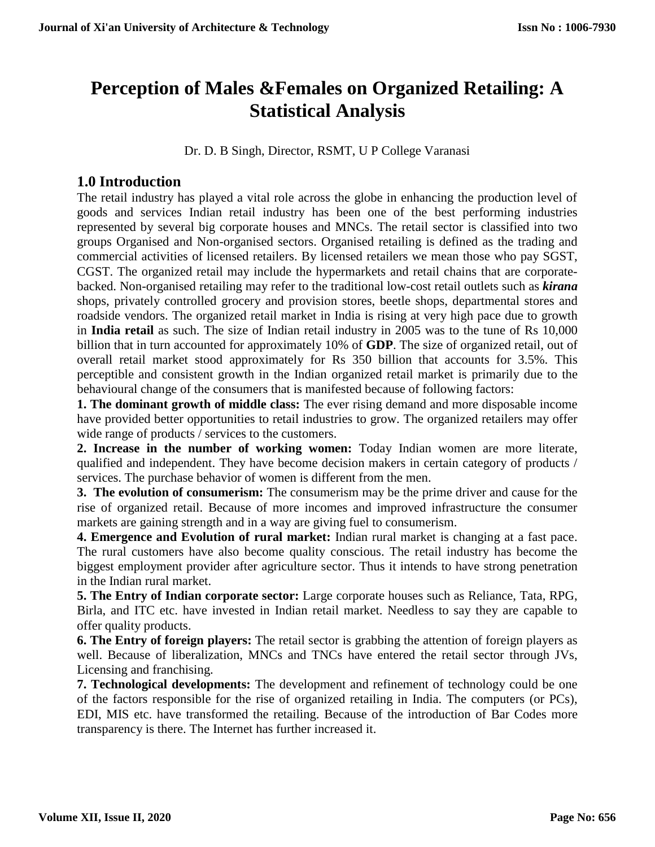# **Perception of Males &Females on Organized Retailing: A Statistical Analysis**

Dr. D. B Singh, Director, RSMT, U P College Varanasi

# **1.0 Introduction**

The retail industry has played a vital role across the globe in enhancing the production level of goods and services Indian retail industry has been one of the best performing industries represented by several big corporate houses and MNCs. The retail sector is classified into two groups Organised and Non-organised sectors. Organised retailing is defined as the trading and commercial activities of licensed retailers. By licensed retailers we mean those who pay SGST, CGST. The organized retail may include the hypermarkets and retail chains that are corporatebacked. Non-organised retailing may refer to the traditional low-cost retail outlets such as *kirana*  shops, privately controlled grocery and provision stores, beetle shops, departmental stores and roadside vendors. The organized retail market in India is rising at very high pace due to growth in **India retail** as such. The size of Indian retail industry in 2005 was to the tune of Rs 10,000 billion that in turn accounted for approximately 10% of **GDP**. The size of organized retail, out of overall retail market stood approximately for Rs 350 billion that accounts for 3.5%. This perceptible and consistent growth in the Indian organized retail market is primarily due to the behavioural change of the consumers that is manifested because of following factors:

**1. The dominant growth of middle class:** The ever rising demand and more disposable income have provided better opportunities to retail industries to grow. The organized retailers may offer wide range of products / services to the customers.

**2. Increase in the number of working women:** Today Indian women are more literate, qualified and independent. They have become decision makers in certain category of products / services. The purchase behavior of women is different from the men.

**3. The evolution of consumerism:** The consumerism may be the prime driver and cause for the rise of organized retail. Because of more incomes and improved infrastructure the consumer markets are gaining strength and in a way are giving fuel to consumerism.

**4. Emergence and Evolution of rural market:** Indian rural market is changing at a fast pace. The rural customers have also become quality conscious. The retail industry has become the biggest employment provider after agriculture sector. Thus it intends to have strong penetration in the Indian rural market.

**5. The Entry of Indian corporate sector:** Large corporate houses such as Reliance, Tata, RPG, Birla, and ITC etc. have invested in Indian retail market. Needless to say they are capable to offer quality products.

**6. The Entry of foreign players:** The retail sector is grabbing the attention of foreign players as well. Because of liberalization, MNCs and TNCs have entered the retail sector through JVs, Licensing and franchising.

**7. Technological developments:** The development and refinement of technology could be one of the factors responsible for the rise of organized retailing in India. The computers (or PCs), EDI, MIS etc. have transformed the retailing. Because of the introduction of Bar Codes more transparency is there. The Internet has further increased it.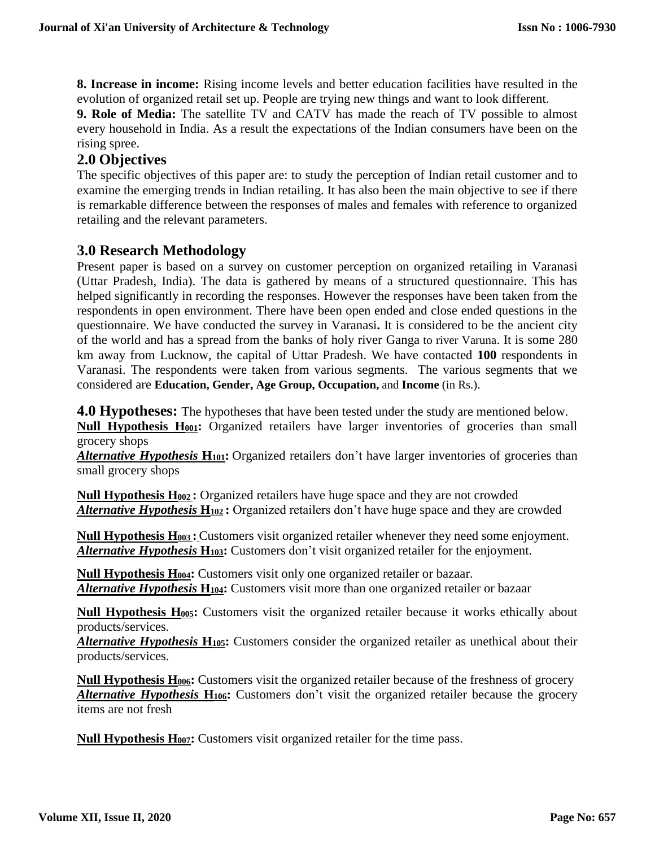**8. Increase in income:** Rising income levels and better education facilities have resulted in the evolution of organized retail set up. People are trying new things and want to look different.

**9. Role of Media:** The satellite TV and CATV has made the reach of TV possible to almost every household in India. As a result the expectations of the Indian consumers have been on the rising spree.

# **2.0 Objectives**

The specific objectives of this paper are: to study the perception of Indian retail customer and to examine the emerging trends in Indian retailing. It has also been the main objective to see if there is remarkable difference between the responses of males and females with reference to organized retailing and the relevant parameters.

## **3.0 Research Methodology**

Present paper is based on a survey on customer perception on organized retailing in Varanasi (Uttar Pradesh, India). The data is gathered by means of a structured questionnaire. This has helped significantly in recording the responses. However the responses have been taken from the respondents in open environment. There have been open ended and close ended questions in the questionnaire. We have conducted the survey in Varanasi**.** It is considered to be the ancient city of the world and has a spread from the banks of holy river Ganga to river Varuna. It is some 280 km away from Lucknow, the capital of Uttar Pradesh. We have contacted **100** respondents in Varanasi. The respondents were taken from various segments. The various segments that we considered are **Education, Gender, Age Group, Occupation,** and **Income** (in Rs.).

**4.0 Hypotheses:** The hypotheses that have been tested under the study are mentioned below.

**Null Hypothesis H001:** Organized retailers have larger inventories of groceries than small grocery shops

**Alternative Hypothesis H<sub>101</sub>:** Organized retailers don't have larger inventories of groceries than small grocery shops

**Null Hypothesis H<sup>002</sup> :** Organized retailers have huge space and they are not crowded *Alternative Hypothesis* **H<sup>102</sup> :** Organized retailers don't have huge space and they are crowded

**Null Hypothesis H<sup>003</sup> :** Customers visit organized retailer whenever they need some enjoyment. *Alternative Hypothesis* **H103:** Customers don't visit organized retailer for the enjoyment.

**Null Hypothesis H004:** Customers visit only one organized retailer or bazaar. *Alternative Hypothesis* **H104:** Customers visit more than one organized retailer or bazaar

**Null Hypothesis H005:** Customers visit the organized retailer because it works ethically about products/services.

*Alternative Hypothesis* **H105:** Customers consider the organized retailer as unethical about their products/services.

**Null Hypothesis H006:** Customers visit the organized retailer because of the freshness of grocery *Alternative Hypothesis* **H106:** Customers don't visit the organized retailer because the grocery items are not fresh

**Null Hypothesis H007:** Customers visit organized retailer for the time pass.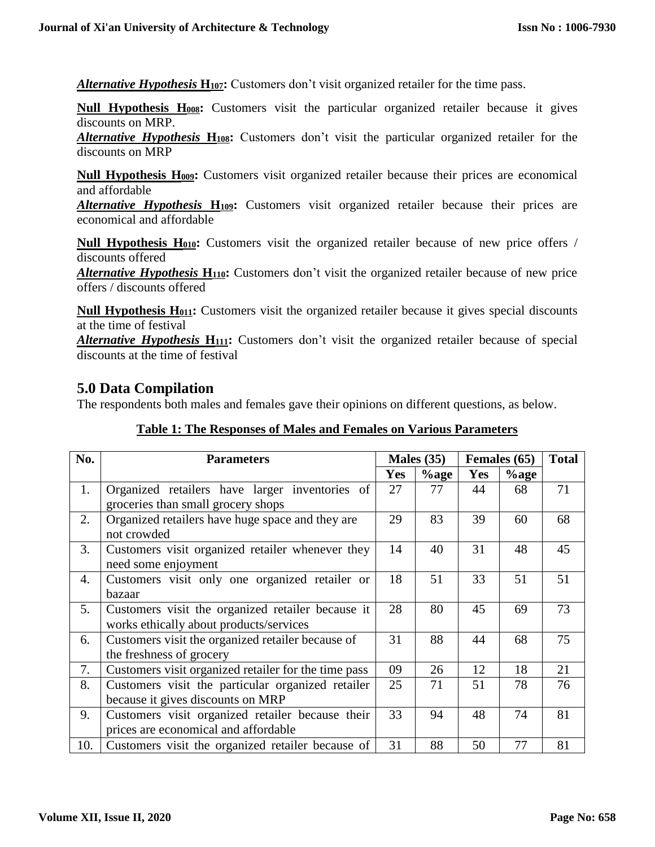*Alternative Hypothesis* **H107:** Customers don't visit organized retailer for the time pass.

**Null Hypothesis H008:** Customers visit the particular organized retailer because it gives discounts on MRP.

*Alternative Hypothesis* **H108:** Customers don't visit the particular organized retailer for the discounts on MRP

**Null Hypothesis H009:** Customers visit organized retailer because their prices are economical and affordable

*Alternative Hypothesis* **H109:** Customers visit organized retailer because their prices are economical and affordable

**Null Hypothesis H010:** Customers visit the organized retailer because of new price offers / discounts offered

*Alternative Hypothesis* **H110:** Customers don't visit the organized retailer because of new price offers / discounts offered

**Null Hypothesis H011:** Customers visit the organized retailer because it gives special discounts at the time of festival

*Alternative Hypothesis* **H111:** Customers don't visit the organized retailer because of special discounts at the time of festival

## **5.0 Data Compilation**

The respondents both males and females gave their opinions on different questions, as below.

| No. | <b>Parameters</b>                                    | Males $(35)$ |         | Females (65) | <b>Total</b> |    |
|-----|------------------------------------------------------|--------------|---------|--------------|--------------|----|
|     |                                                      | <b>Yes</b>   | $%$ age | <b>Yes</b>   | $%$ age      |    |
| 1.  | Organized retailers have larger inventories of       | 27           | 77      | 44           | 68           | 71 |
|     | groceries than small grocery shops                   |              |         |              |              |    |
| 2.  | Organized retailers have huge space and they are     | 29           | 83      | 39           | 60           | 68 |
|     | not crowded                                          |              |         |              |              |    |
| 3.  | Customers visit organized retailer whenever they     | 14           | 40      | 31           | 48           | 45 |
|     | need some enjoyment                                  |              |         |              |              |    |
| 4.  | Customers visit only one organized retailer or       |              | 51      | 33           | 51           | 51 |
|     | <b>bazaar</b>                                        |              |         |              |              |    |
| 5.  | Customers visit the organized retailer because it    |              | 80      | 45           | 69           | 73 |
|     | works ethically about products/services              |              |         |              |              |    |
| 6.  | Customers visit the organized retailer because of    | 31           | 88      | 44           | 68           | 75 |
|     | the freshness of grocery                             |              |         |              |              |    |
| 7.  | Customers visit organized retailer for the time pass | 09           | 26      | 12           | 18           | 21 |
| 8.  | Customers visit the particular organized retailer    | 25           | 71      | 51           | 78           | 76 |
|     | because it gives discounts on MRP                    |              |         |              |              |    |
| 9.  | Customers visit organized retailer because their     |              | 94      | 48           | 74           | 81 |
|     | prices are economical and affordable                 |              |         |              |              |    |
| 10. | Customers visit the organized retailer because of    | 31           | 88      | 50           | 77           | 81 |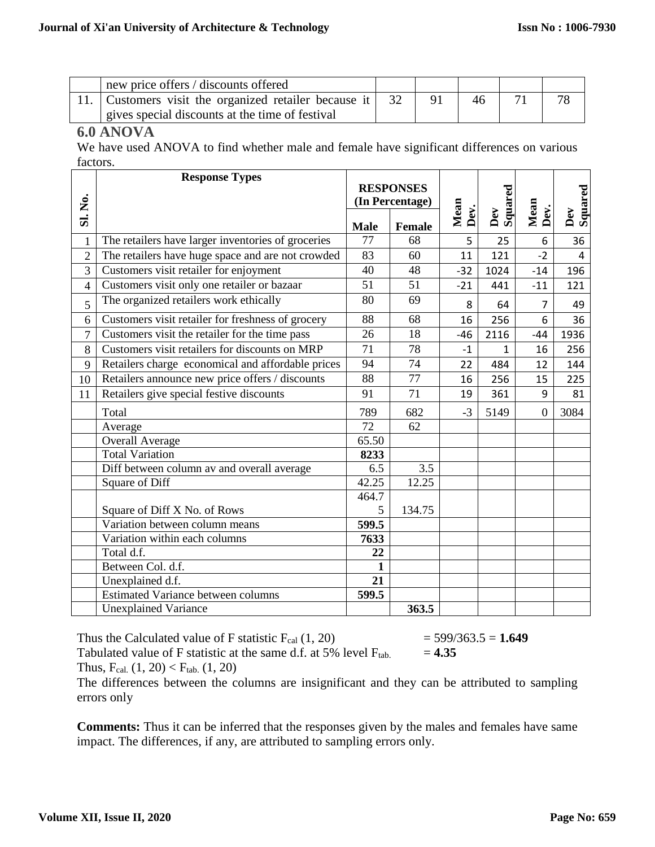| new price offers / discounts offered              |  |  |  |
|---------------------------------------------------|--|--|--|
| Customers visit the organized retailer because it |  |  |  |
| gives special discounts at the time of festival   |  |  |  |

### **6.0 ANOVA**

We have used ANOVA to find whether male and female have significant differences on various factors.

|                | <b>Response Types</b>                              |                  |               |                 |                                             |                |      |  |         |
|----------------|----------------------------------------------------|------------------|---------------|-----------------|---------------------------------------------|----------------|------|--|---------|
|                |                                                    | <b>RESPONSES</b> |               | (In Percentage) |                                             |                |      |  | Squared |
| Sl. No.        |                                                    |                  |               | Mean            |                                             |                |      |  |         |
|                |                                                    | <b>Male</b>      | <b>Female</b> | Dev.            | Squared<br>$\mathbf{D}\mathbf{e}\mathbf{v}$ | Mean<br>Dev.   | Dev  |  |         |
| $\mathbf{1}$   | The retailers have larger inventories of groceries | 77               | 68            | 5               | 25                                          | 6              | 36   |  |         |
| $\overline{2}$ | The retailers have huge space and are not crowded  | 83               | 60            | 11              | 121                                         | $-2$           | 4    |  |         |
| 3              | Customers visit retailer for enjoyment             | 40               | 48            | $-32$           | 1024                                        | $-14$          | 196  |  |         |
| 4              | Customers visit only one retailer or bazaar        | 51               | 51            | $-21$           | 441                                         | $-11$          | 121  |  |         |
| 5              | The organized retailers work ethically             | 80               | 69            | 8               | 64                                          | $\overline{7}$ | 49   |  |         |
| 6              | Customers visit retailer for freshness of grocery  | 88               | 68            | 16              | 256                                         | 6              | 36   |  |         |
| $\overline{7}$ | Customers visit the retailer for the time pass     | 26               | 18            | $-46$           | 2116                                        | $-44$          | 1936 |  |         |
| 8              | Customers visit retailers for discounts on MRP     |                  | 78            | $-1$            | $\mathbf{1}$                                | 16             | 256  |  |         |
| 9              | Retailers charge economical and affordable prices  | 94               | 74            | 22              | 484                                         | 12             | 144  |  |         |
| 10             | Retailers announce new price offers / discounts    | 88               | 77            | 16              | 256                                         | 15             | 225  |  |         |
| 11             | Retailers give special festive discounts           | 91               | 71            | 19              | 361                                         | 9              | 81   |  |         |
|                | Total                                              | 789              | 682           | $-3$            | 5149                                        | $\overline{0}$ | 3084 |  |         |
|                | Average                                            | 72               | 62            |                 |                                             |                |      |  |         |
|                | <b>Overall Average</b>                             | 65.50            |               |                 |                                             |                |      |  |         |
|                | <b>Total Variation</b>                             | 8233             |               |                 |                                             |                |      |  |         |
|                | Diff between column av and overall average         | 6.5              | 3.5           |                 |                                             |                |      |  |         |
|                | Square of Diff                                     | 42.25            | 12.25         |                 |                                             |                |      |  |         |
|                |                                                    | 464.7            |               |                 |                                             |                |      |  |         |
|                | Square of Diff X No. of Rows                       | 5                | 134.75        |                 |                                             |                |      |  |         |
|                | Variation between column means                     | 599.5            |               |                 |                                             |                |      |  |         |
|                | Variation within each columns                      | 7633             |               |                 |                                             |                |      |  |         |
|                | Total d.f.                                         | 22               |               |                 |                                             |                |      |  |         |
|                | Between Col. d.f.                                  | 1                |               |                 |                                             |                |      |  |         |
|                | Unexplained d.f.                                   | 21               |               |                 |                                             |                |      |  |         |
|                | <b>Estimated Variance between columns</b>          | 599.5            |               |                 |                                             |                |      |  |         |
|                | <b>Unexplained Variance</b>                        |                  | 363.5         |                 |                                             |                |      |  |         |

Thus the Calculated value of F statistic F<sub>cal</sub>  $(1, 20)$  = 599/363.5 = **1.649**<br>Tabulated value of F statistic at the same d.f. at 5% level F<sub>tab.</sub> = **4.35** Tabulated value of  $F$  statistic at the same d.f. at 5% level  $F_{\text{tab.}}$ Thus,  $F_{cal}(1, 20) < F_{tab}(1, 20)$ 

The differences between the columns are insignificant and they can be attributed to sampling errors only

**Comments:** Thus it can be inferred that the responses given by the males and females have same impact. The differences, if any, are attributed to sampling errors only.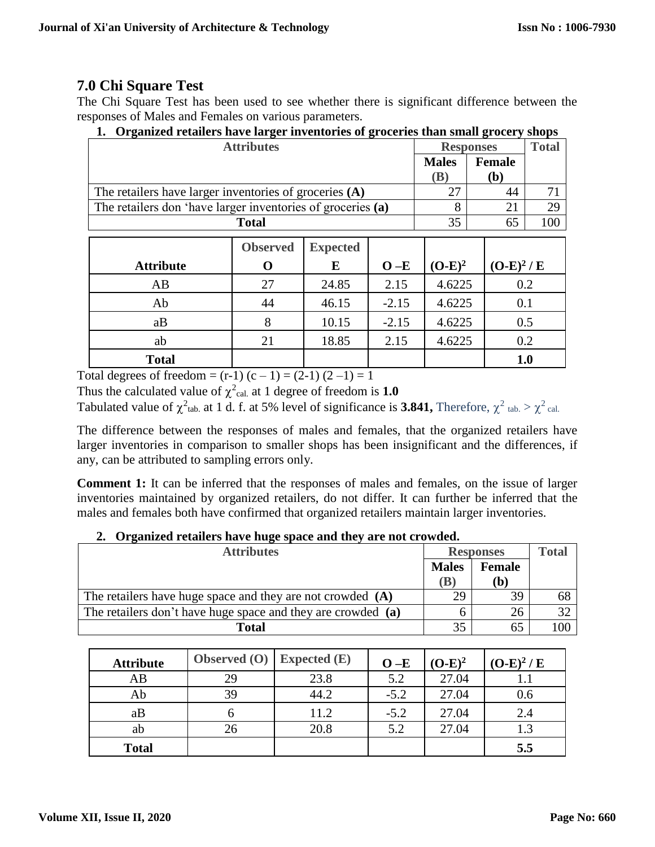# **7.0 Chi Square Test**

The Chi Square Test has been used to see whether there is significant difference between the responses of Males and Females on various parameters.

| <b>Attributes</b>                                           |                 | <b>Responses</b> | <b>Total</b> |            |             |     |
|-------------------------------------------------------------|-----------------|------------------|--------------|------------|-------------|-----|
|                                                             | <b>Males</b>    | <b>Female</b>    |              |            |             |     |
|                                                             |                 |                  |              | <b>(B)</b> | (b)         |     |
| The retailers have larger inventories of groceries (A)      |                 |                  |              | 27         | 44          | 71  |
| The retailers don 'have larger inventories of groceries (a) |                 |                  |              | 8          | 21          | 29  |
| <b>Total</b>                                                |                 |                  |              |            | 65          | 100 |
|                                                             |                 |                  |              |            |             |     |
|                                                             | <b>Observed</b> | <b>Expected</b>  |              |            |             |     |
| <b>Attribute</b>                                            | O               | E                | $O-E$        | $(O-E)^2$  | $(O-E)^2/E$ |     |
| AB                                                          | 27              | 24.85            | 2.15         | 4.6225     |             | 0.2 |
| Ab                                                          | 44              | 46.15            | $-2.15$      | 4.6225     |             | 0.1 |
| aB                                                          | 8               | 10.15            | $-2.15$      | 4.6225     |             | 0.5 |
| ab                                                          | 21              | 18.85            | 2.15         | 4.6225     |             | 0.2 |
| <b>Total</b>                                                |                 |                  |              |            |             | 1.0 |

**1. Organized retailers have larger inventories of groceries than small grocery shops**

Total degrees of freedom =  $(r-1)$   $(c-1)$  =  $(2-1)$   $(2-1)$  = 1

Thus the calculated value of  $\chi^2$ <sub>cal.</sub> at 1 degree of freedom is **1.0** 

Tabulated value of  $\chi^2$ <sub>tab.</sub> at 1 d. f. at 5% level of significance is **3.841**, Therefore,  $\chi^2$ <sub>tab.</sub>  $> \chi^2$ <sub>cal.</sub>

The difference between the responses of males and females, that the organized retailers have larger inventories in comparison to smaller shops has been insignificant and the differences, if any, can be attributed to sampling errors only.

**Comment 1:** It can be inferred that the responses of males and females, on the issue of larger inventories maintained by organized retailers, do not differ. It can further be inferred that the males and females both have confirmed that organized retailers maintain larger inventories.

#### **2. Organized retailers have huge space and they are not crowded.**

| <b>Attributes</b>                                            |              | <b>Responses</b>    |     |  |
|--------------------------------------------------------------|--------------|---------------------|-----|--|
|                                                              | <b>Males</b> | <b>Female</b><br>Ъ. |     |  |
| The retailers have huge space and they are not crowded $(A)$ | 29           | 39                  | 68  |  |
| The retailers don't have huge space and they are crowded (a) |              | 26                  |     |  |
| <b>Total</b>                                                 |              | 65                  | 100 |  |

| <b>Attribute</b> | Observed $(O)$ Expected $(E)$ |      | $O - E$ | $(O-E)^2$ | $(O-E)^2/E$ |
|------------------|-------------------------------|------|---------|-----------|-------------|
| AB               | 29                            | 23.8 | 5.2     | 27.04     |             |
| Ab               | 39                            | 44.2 | $-5.2$  | 27.04     | 0.6         |
| aB               |                               | 11.2 | $-5.2$  | 27.04     | 2.4         |
| ab               | 26                            | 20.8 | 5.2     | 27.04     |             |
| <b>Total</b>     |                               |      |         |           | 5.5         |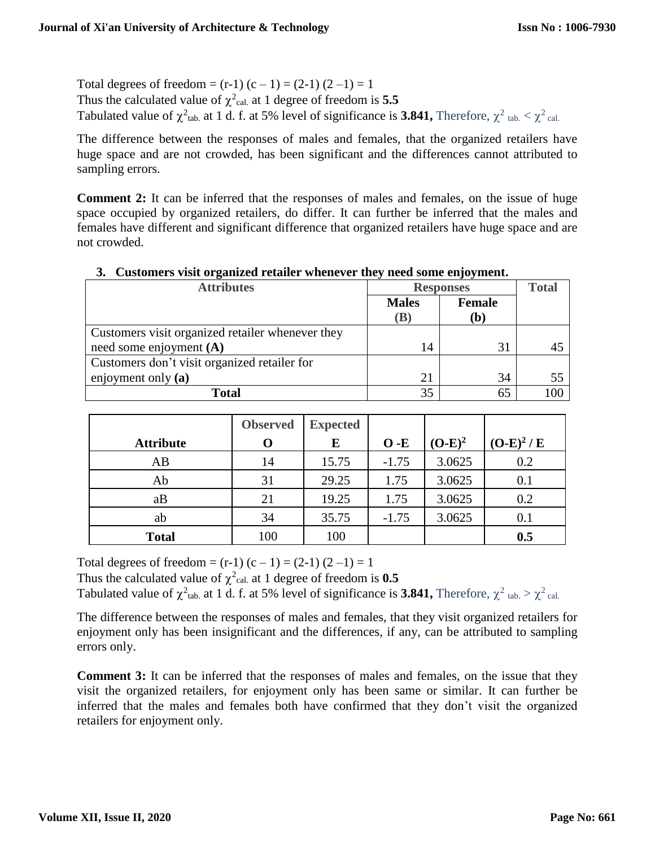Total degrees of freedom =  $(r-1)$   $(c-1)$  =  $(2-1)$   $(2-1)$  = 1 Thus the calculated value of  $\chi^2$ <sub>cal.</sub> at 1 degree of freedom is **5.5** Tabulated value of  $\chi^2$ <sub>tab.</sub> at 1 d. f. at 5% level of significance is 3.841, Therefore,  $\chi^2$ <sub>tab.</sub>  $\lt \chi^2$ <sub>cal.</sub>

The difference between the responses of males and females, that the organized retailers have huge space and are not crowded, has been significant and the differences cannot attributed to sampling errors.

**Comment 2:** It can be inferred that the responses of males and females, on the issue of huge space occupied by organized retailers, do differ. It can further be inferred that the males and females have different and significant difference that organized retailers have huge space and are not crowded.

| of Castomers visit organized retailer whenever they need some enjoyment. |                                            |                      |     |  |  |  |  |  |
|--------------------------------------------------------------------------|--------------------------------------------|----------------------|-----|--|--|--|--|--|
| <b>Attributes</b>                                                        | <b>Responses</b>                           | <b>Total</b>         |     |  |  |  |  |  |
|                                                                          | <b>Males</b><br>$\left( \mathbf{B}\right)$ | <b>Female</b><br>(b) |     |  |  |  |  |  |
| Customers visit organized retailer whenever they                         |                                            |                      |     |  |  |  |  |  |
| need some enjoyment $(A)$                                                | 14                                         | 31                   | 45  |  |  |  |  |  |
| Customers don't visit organized retailer for                             |                                            |                      |     |  |  |  |  |  |
| enjoyment only $(a)$                                                     | 21                                         | 34                   | 55  |  |  |  |  |  |
| <b>Total</b>                                                             | 35                                         | 65                   | 100 |  |  |  |  |  |

#### **3. Customers visit organized retailer whenever they need some enjoyment.**

|                  | <b>Observed</b> | <b>Expected</b> |         |           |             |
|------------------|-----------------|-----------------|---------|-----------|-------------|
| <b>Attribute</b> | ( )             | E               | $O - E$ | $(O-E)^2$ | $(O-E)^2/E$ |
| AB               | 14              | 15.75           | $-1.75$ | 3.0625    | 0.2         |
| Ab               | 31              | 29.25           | 1.75    | 3.0625    | 0.1         |
| aB               | 21              | 19.25           | 1.75    | 3.0625    | 0.2         |
| ab               | 34              | 35.75           | $-1.75$ | 3.0625    | 0.1         |
| <b>Total</b>     | 100             | 100             |         |           | 0.5         |

Total degrees of freedom =  $(r-1)$   $(c-1)$  =  $(2-1)$   $(2-1)$  = 1

Thus the calculated value of  $\chi^2$ <sub>cal.</sub> at 1 degree of freedom is **0.5** 

Tabulated value of  $\chi^2$ <sub>tab.</sub> at 1 d. f. at 5% level of significance is **3.841**, Therefore,  $\chi^2$ <sub>tab.</sub>  $> \chi^2$ <sub>cal.</sub>

The difference between the responses of males and females, that they visit organized retailers for enjoyment only has been insignificant and the differences, if any, can be attributed to sampling errors only.

**Comment 3:** It can be inferred that the responses of males and females, on the issue that they visit the organized retailers, for enjoyment only has been same or similar. It can further be inferred that the males and females both have confirmed that they don't visit the organized retailers for enjoyment only.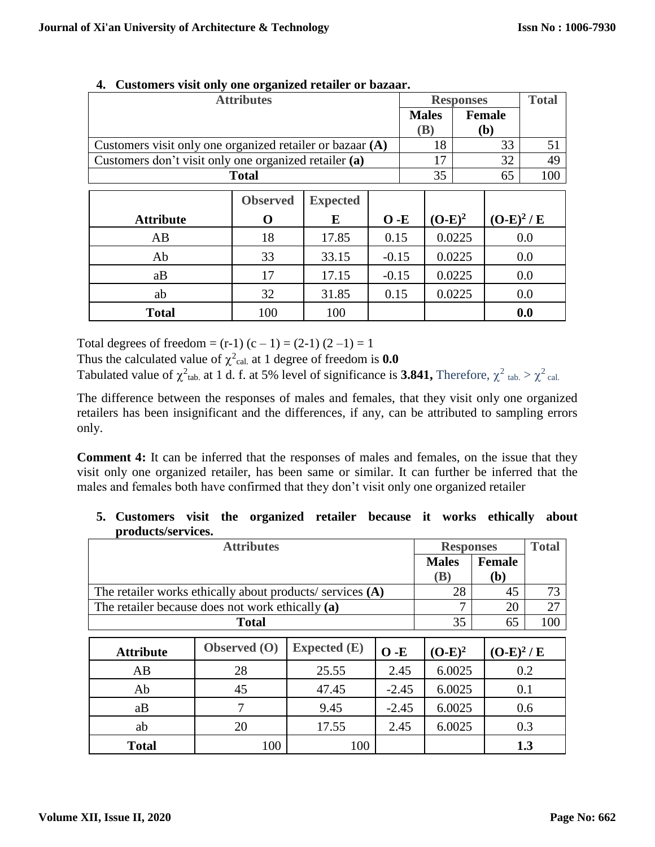| <b>Attributes</b>                                         |                 |                 |         |  |              | <b>Responses</b> |               | <b>Total</b> |
|-----------------------------------------------------------|-----------------|-----------------|---------|--|--------------|------------------|---------------|--------------|
|                                                           |                 |                 |         |  | <b>Males</b> |                  | <b>Female</b> |              |
|                                                           |                 |                 |         |  | (B)          |                  | ( <b>b</b> )  |              |
| Customers visit only one organized retailer or bazaar (A) |                 |                 |         |  | 18           |                  | 33            | 51           |
| Customers don't visit only one organized retailer (a)     |                 |                 |         |  | 17           |                  | 32            | 49           |
| <b>Total</b>                                              |                 |                 |         |  | 35           |                  | 65            | 100          |
|                                                           |                 |                 |         |  |              |                  |               |              |
|                                                           | <b>Observed</b> | <b>Expected</b> |         |  |              |                  |               |              |
| <b>Attribute</b>                                          | 0               | E               | $O - E$ |  | $(O-E)^2$    |                  | $(O-E)^2/E$   |              |
| AB                                                        | 18              | 17.85           | 0.15    |  |              | 0.0225           |               | 0.0          |
| Ab                                                        | 33              | 33.15           | $-0.15$ |  |              | 0.0225           |               | 0.0          |
| aB                                                        | 17              | 17.15           | $-0.15$ |  |              | 0.0225           |               | 0.0          |
| ab                                                        | 32              | 31.85           | 0.15    |  |              | 0.0225           |               | 0.0          |
| <b>Total</b>                                              | 100             | 100             |         |  |              |                  |               | 0.0          |

#### **4. Customers visit only one organized retailer or bazaar.**

Total degrees of freedom =  $(r-1)$   $(c-1)$  =  $(2-1)$   $(2-1)$  = 1

Thus the calculated value of  $\chi^2$ <sub>cal.</sub> at 1 degree of freedom is **0.0** 

Tabulated value of  $\chi^2$ <sub>tab.</sub> at 1 d. f. at 5% level of significance is 3.841, Therefore,  $\chi^2$ <sub>tab.</sub>  $> \chi^2$ <sub>cal.</sub>

The difference between the responses of males and females, that they visit only one organized retailers has been insignificant and the differences, if any, can be attributed to sampling errors only.

**Comment 4:** It can be inferred that the responses of males and females, on the issue that they visit only one organized retailer, has been same or similar. It can further be inferred that the males and females both have confirmed that they don't visit only one organized retailer

### **5. Customers visit the organized retailer because it works ethically about products/services.**

| <b>Attributes</b>                                         |              |                     |         |              | <b>Responses</b> | <b>Total</b> |
|-----------------------------------------------------------|--------------|---------------------|---------|--------------|------------------|--------------|
|                                                           |              |                     |         | <b>Males</b> | Female           |              |
|                                                           |              |                     |         | <b>(B)</b>   | (b)              |              |
| The retailer works ethically about products/ services (A) |              |                     |         | 28           | 45               | 73           |
| The retailer because does not work ethically (a)          |              |                     |         | 7            | 20               | 27           |
|                                                           | <b>Total</b> |                     |         | 35           | 65               | 100          |
| <b>Attribute</b>                                          | Observed (O) | <b>Expected</b> (E) | $O - E$ | $(O-E)^2$    | $(O-E)^2/E$      |              |
| AB                                                        | 28           | 25.55               | 2.45    | 6.0025       |                  | 0.2          |
| Ab                                                        | 45           | 47.45               | $-2.45$ | 6.0025       | 0.1              |              |
| aB                                                        | 7            | 9.45                | $-2.45$ | 6.0025       |                  | 0.6          |
| ab                                                        | 20           | 17.55               | 2.45    | 6.0025       | 0.3              |              |
| <b>Total</b>                                              | 100          | 100                 |         |              | 1.3              |              |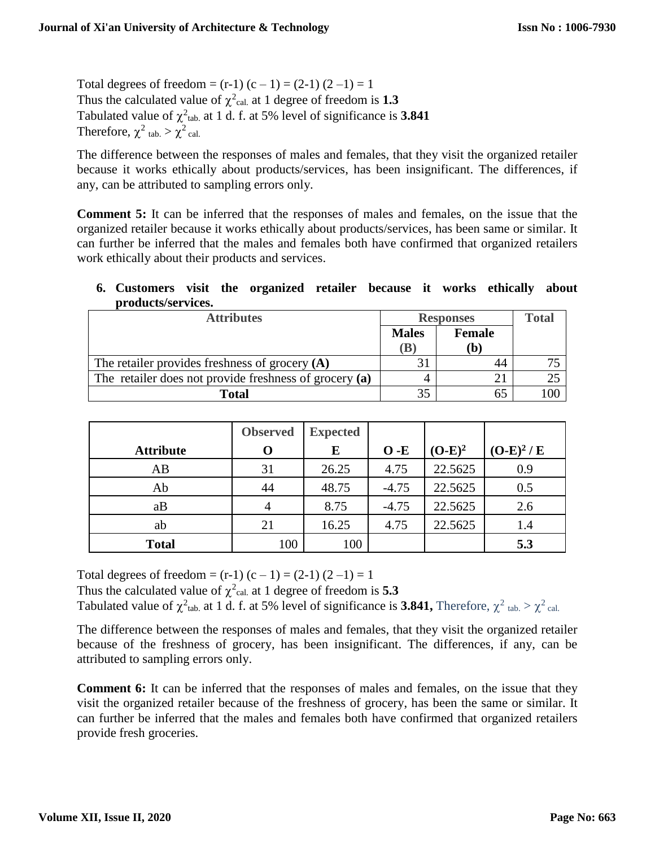Total degrees of freedom =  $(r-1)$   $(c-1)$  =  $(2-1)$   $(2-1)$  = 1 Thus the calculated value of  $\chi^2$ <sub>cal.</sub> at 1 degree of freedom is **1.3** Tabulated value of  $\chi^2$ <sub>tab.</sub> at 1 d. f. at 5% level of significance is **3.841** Therefore,  $\chi^2$  tab.  $>\chi^2$  cal.

The difference between the responses of males and females, that they visit the organized retailer because it works ethically about products/services, has been insignificant. The differences, if any, can be attributed to sampling errors only.

**Comment 5:** It can be inferred that the responses of males and females, on the issue that the organized retailer because it works ethically about products/services, has been same or similar. It can further be inferred that the males and females both have confirmed that organized retailers work ethically about their products and services.

#### **6. Customers visit the organized retailer because it works ethically about products/services.**

| <b>Attributes</b>                                      | <b>Responses</b> | <b>Total</b>               |     |
|--------------------------------------------------------|------------------|----------------------------|-----|
|                                                        | <b>Males</b>     | <b>Female</b>              |     |
|                                                        | $(\mathbf{B})$   | $\left( \mathbf{b}\right)$ |     |
| The retailer provides freshness of grocery $(A)$       |                  | 44                         |     |
| The retailer does not provide freshness of grocery (a) |                  |                            |     |
| <b>Total</b>                                           | 35               |                            | 100 |

|                  | <b>Observed</b> | <b>Expected</b> |         |           |             |
|------------------|-----------------|-----------------|---------|-----------|-------------|
| <b>Attribute</b> |                 | E               | $O - E$ | $(O-E)^2$ | $(O-E)^2/E$ |
| AB               | 31              | 26.25           | 4.75    | 22.5625   | 0.9         |
| Ab               | 44              | 48.75           | $-4.75$ | 22.5625   | 0.5         |
| aB               | 4               | 8.75            | $-4.75$ | 22.5625   | 2.6         |
| ab               | 21              | 16.25           | 4.75    | 22.5625   | 1.4         |
| <b>Total</b>     | 100             | 100             |         |           | 5.3         |

Total degrees of freedom =  $(r-1)$   $(c-1)$  =  $(2-1)$   $(2-1)$  = 1

Thus the calculated value of  $\chi^2$ <sub>cal.</sub> at 1 degree of freedom is **5.3** 

Tabulated value of  $\chi^2$ <sub>tab.</sub> at 1 d. f. at 5% level of significance is **3.841**, Therefore,  $\chi^2$ <sub>tab.</sub>  $> \chi^2$ <sub>cal.</sub>

The difference between the responses of males and females, that they visit the organized retailer because of the freshness of grocery, has been insignificant. The differences, if any, can be attributed to sampling errors only.

**Comment 6:** It can be inferred that the responses of males and females, on the issue that they visit the organized retailer because of the freshness of grocery, has been the same or similar. It can further be inferred that the males and females both have confirmed that organized retailers provide fresh groceries.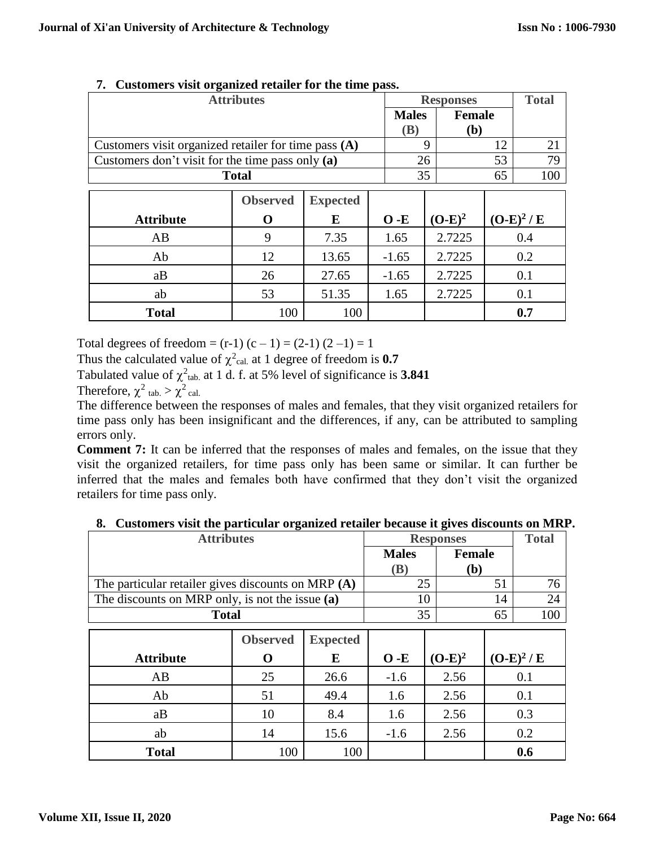| <b>Attributes</b>                                    |              |              |         | <b>Responses</b> |     |             |  |
|------------------------------------------------------|--------------|--------------|---------|------------------|-----|-------------|--|
|                                                      | <b>Males</b> | Female       |         |                  |     |             |  |
|                                                      | (B)          | ( <b>b</b> ) |         |                  |     |             |  |
| Customers visit organized retailer for time pass (A) |              |              |         | 9                | 12  | 21          |  |
| Customers don't visit for the time pass only (a)     |              |              |         | 26               | 53  | 79          |  |
| <b>Total</b>                                         |              |              |         | 35               | 65  | 100         |  |
| <b>Observed</b><br><b>Expected</b>                   |              |              |         |                  |     |             |  |
|                                                      |              |              |         |                  |     |             |  |
| <b>Attribute</b>                                     | 0            | E            | $O - E$ | $(O-E)^2$        |     | $(O-E)^2/E$ |  |
| AB                                                   | 9            | 7.35         | 1.65    | 2.7225           |     | 0.4         |  |
| Ab                                                   | 12           | 13.65        | $-1.65$ | 2.7225           | 0.2 |             |  |
| aB                                                   | 26           | 27.65        | $-1.65$ | 2.7225           | 0.1 |             |  |
| ab                                                   | 53           | 51.35        | 1.65    | 2.7225           | 0.1 |             |  |
| <b>Total</b>                                         | 100          | 100          |         |                  |     | 0.7         |  |

### **7. Customers visit organized retailer for the time pass.**

Total degrees of freedom =  $(r-1)$   $(c-1)$  =  $(2-1)$   $(2-1)$  = 1

Thus the calculated value of  $\chi^2$ <sub>cal.</sub> at 1 degree of freedom is **0.7** 

Tabulated value of  $\chi^2$ <sub>tab.</sub> at 1 d. f. at 5% level of significance is 3.841

Therefore,  $\chi^2$  tab.  $>\chi^2$  cal.

The difference between the responses of males and females, that they visit organized retailers for time pass only has been insignificant and the differences, if any, can be attributed to sampling errors only.

**Comment 7:** It can be inferred that the responses of males and females, on the issue that they visit the organized retailers, for time pass only has been same or similar. It can further be inferred that the males and females both have confirmed that they don't visit the organized retailers for time pass only.

| <b>Attributes</b>                                    |                               |                 | <b>Responses</b> | <b>Total</b> |     |             |
|------------------------------------------------------|-------------------------------|-----------------|------------------|--------------|-----|-------------|
|                                                      | <b>Female</b><br><b>Males</b> |                 |                  |              |     |             |
|                                                      | <b>(B)</b>                    | (b)             |                  |              |     |             |
| The particular retailer gives discounts on MRP $(A)$ |                               |                 |                  | 25           | 51  | 76          |
| The discounts on MRP only, is not the issue $(a)$    |                               |                 |                  | 10           | 14  | 24          |
| <b>Total</b>                                         |                               |                 |                  | 35           | 65  | 100         |
|                                                      |                               |                 |                  |              |     |             |
|                                                      | <b>Observed</b>               | <b>Expected</b> |                  |              |     |             |
| <b>Attribute</b>                                     | 0                             | E               | $O - E$          | $(O-E)^2$    |     | $(O-E)^2/E$ |
| AB                                                   | 25                            | 26.6            | $-1.6$           | 2.56         |     | 0.1         |
| Ab                                                   | 51                            | 49.4            | 1.6              | 2.56         | 0.1 |             |
| aB                                                   | 10                            | 8.4             | 1.6              | 2.56         | 0.3 |             |
| ab                                                   | 14                            | 15.6            | $-1.6$           | 2.56         |     | 0.2         |
| <b>Total</b>                                         | 100                           | 100             |                  |              |     | 0.6         |

|  |  | 8. Customers visit the particular organized retailer because it gives discounts on MRP. |
|--|--|-----------------------------------------------------------------------------------------|
|  |  |                                                                                         |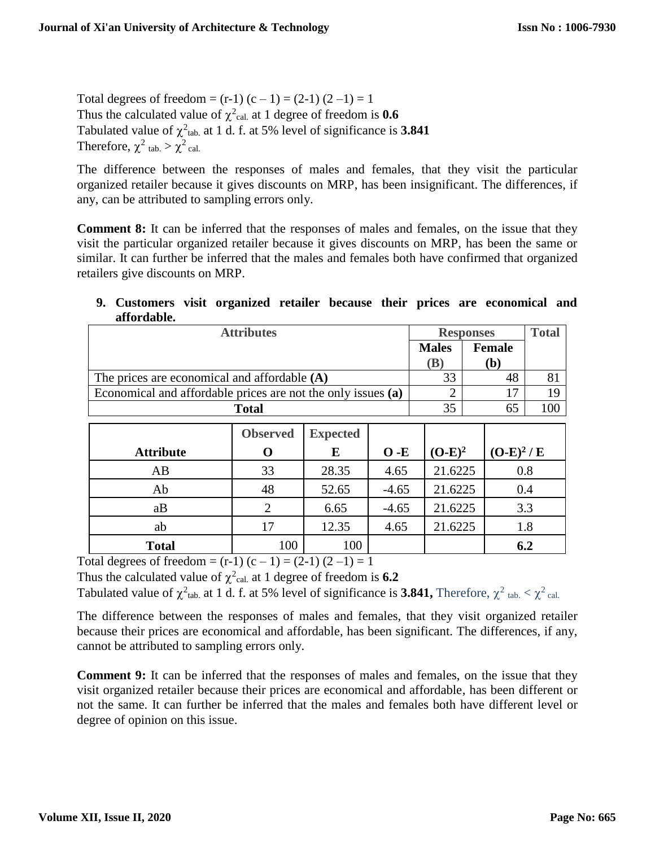Total degrees of freedom =  $(r-1)$   $(c-1)$  =  $(2-1)$   $(2-1)$  = 1 Thus the calculated value of  $\chi^2$ <sub>cal.</sub> at 1 degree of freedom is **0.6** Tabulated value of  $\chi^2$ <sub>tab.</sub> at 1 d. f. at 5% level of significance is **3.841** Therefore,  $\chi^2$  tab.  $>\chi^2$  cal.

The difference between the responses of males and females, that they visit the particular organized retailer because it gives discounts on MRP, has been insignificant. The differences, if any, can be attributed to sampling errors only.

**Comment 8:** It can be inferred that the responses of males and females, on the issue that they visit the particular organized retailer because it gives discounts on MRP, has been the same or similar. It can further be inferred that the males and females both have confirmed that organized retailers give discounts on MRP.

| atiordable.                                                  |              |       |         |                          |                  |                      |     |  |
|--------------------------------------------------------------|--------------|-------|---------|--------------------------|------------------|----------------------|-----|--|
| <b>Attributes</b>                                            |              |       |         |                          | <b>Responses</b> |                      |     |  |
|                                                              |              |       |         |                          |                  | <b>Female</b><br>(b) |     |  |
|                                                              |              |       |         |                          |                  |                      |     |  |
| The prices are economical and affordable $(A)$               |              |       |         | 33                       |                  | 48                   | 81  |  |
| Economical and affordable prices are not the only issues (a) |              |       |         | $\overline{2}$           |                  | 17                   | 19  |  |
|                                                              | <b>Total</b> |       |         | 35                       |                  | 65                   | 100 |  |
| <b>Observed</b><br><b>Expected</b>                           |              |       |         |                          |                  |                      |     |  |
|                                                              |              |       |         |                          |                  |                      |     |  |
| <b>Attribute</b>                                             | O            | E     | $O - E$ | $(O-E)^2/E$<br>$(O-E)^2$ |                  |                      |     |  |
| AB                                                           | 33           | 28.35 | 4.65    | 21.6225                  |                  | 0.8                  |     |  |
| Ab                                                           | 48           | 52.65 | $-4.65$ | 21.6225                  |                  | 0.4                  |     |  |
| aB                                                           | 2            | 6.65  | $-4.65$ | 21.6225<br>3.3           |                  |                      |     |  |
| ab                                                           | 17           | 12.35 | 4.65    | 1.8<br>21.6225           |                  |                      |     |  |
| <b>Total</b>                                                 | 100          | 100   |         |                          |                  | 6.2                  |     |  |

## **9. Customers visit organized retailer because their prices are economical and affordable.**

Total degrees of freedom =  $(r-1)$   $(c-1)$  =  $(2-1)$   $(2-1)$  = 1

Thus the calculated value of  $\chi^2$ <sub>cal.</sub> at 1 degree of freedom is **6.2** 

Tabulated value of  $\chi^2$ <sub>tab.</sub> at 1 d. f. at 5% level of significance is 3.841, Therefore,  $\chi^2$ <sub>tab.</sub>  $< \chi^2$ <sub>cal.</sub>

The difference between the responses of males and females, that they visit organized retailer because their prices are economical and affordable, has been significant. The differences, if any, cannot be attributed to sampling errors only.

**Comment 9:** It can be inferred that the responses of males and females, on the issue that they visit organized retailer because their prices are economical and affordable, has been different or not the same. It can further be inferred that the males and females both have different level or degree of opinion on this issue.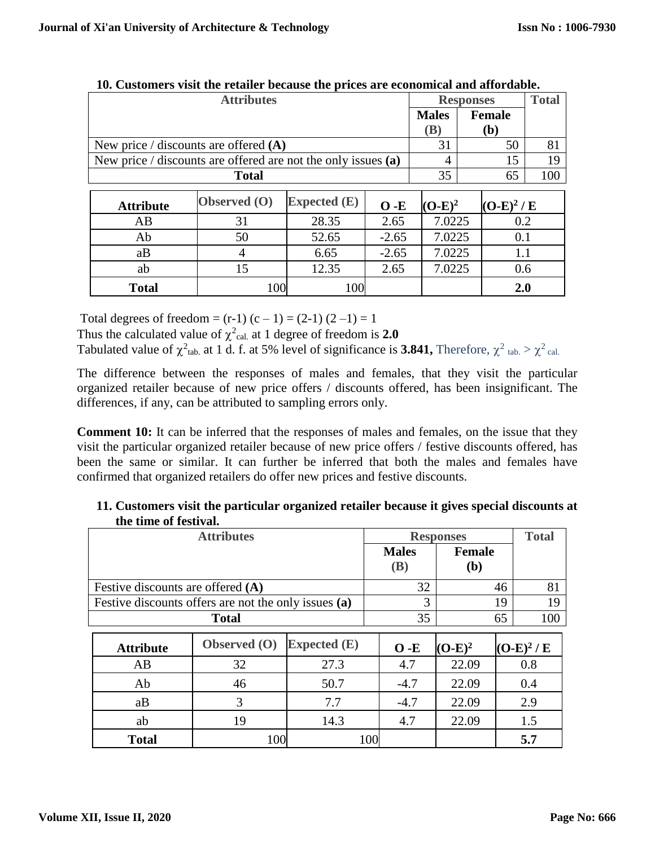| <b>Attributes</b>                                             |                     |                |         | <b>Responses</b> |               |                      | <b>Total</b> |
|---------------------------------------------------------------|---------------------|----------------|---------|------------------|---------------|----------------------|--------------|
|                                                               |                     |                |         |                  |               | <b>Female</b><br>(b) |              |
| New price / discounts are offered $(A)$                       |                     |                |         | 31               |               | 50                   | 81           |
| New price / discounts are offered are not the only issues (a) |                     |                |         | $\overline{4}$   |               | 15                   | 19           |
| <b>Total</b>                                                  |                     |                |         |                  |               | 65                   | 100          |
|                                                               |                     |                |         |                  |               |                      |              |
| <b>Attribute</b>                                              | <b>Observed</b> (O) | Expected $(E)$ | $O - E$ | $(O-E)^2$        |               | $(O-E)^2/E$          |              |
| AB.                                                           | 31                  | 28.35          | 2.65    | 7.0225           |               | 0.2                  |              |
| Ab                                                            | 50                  | 52.65          | $-2.65$ | 7.0225           | 0.1           |                      |              |
| aB                                                            | 4                   | 6.65           | $-2.65$ |                  | 1.1<br>7.0225 |                      |              |
| ab                                                            | 15                  | 12.35          | 2.65    | 7.0225           |               | 0.6                  |              |
| <b>Total</b>                                                  | 100                 | 100            |         |                  |               | 2.0                  |              |

**10. Customers visit the retailer because the prices are economical and affordable.**

Total degrees of freedom =  $(r-1)$   $(c-1)$  =  $(2-1)$   $(2-1)$  = 1

Thus the calculated value of  $\chi^2$ <sub>cal.</sub> at 1 degree of freedom is 2.0

Tabulated value of  $\chi^2$ <sub>tab.</sub> at 1 d. f. at 5% level of significance is **3.841**, Therefore,  $\chi^2$ <sub>tab.</sub>  $> \chi^2$ <sub>cal.</sub>

The difference between the responses of males and females, that they visit the particular organized retailer because of new price offers / discounts offered, has been insignificant. The differences, if any, can be attributed to sampling errors only.

**Comment 10:** It can be inferred that the responses of males and females, on the issue that they visit the particular organized retailer because of new price offers / festive discounts offered, has been the same or similar. It can further be inferred that both the males and females have confirmed that organized retailers do offer new prices and festive discounts.

| <b>Attributes</b>                                    |              |                | <b>Responses</b> |               | <b>Total</b> |             |
|------------------------------------------------------|--------------|----------------|------------------|---------------|--------------|-------------|
|                                                      |              |                | <b>Males</b>     | <b>Female</b> |              |             |
|                                                      |              |                | <b>(B)</b>       | ( <b>b</b> )  |              |             |
| Festive discounts are offered $(A)$                  |              |                | 32               | 46            | 81           |             |
| Festive discounts offers are not the only issues (a) |              |                |                  | 3             | 19           | 19          |
| <b>Total</b>                                         |              |                |                  | 35            | 65           | 100         |
|                                                      |              |                |                  |               |              |             |
| <b>Attribute</b>                                     | Observed (O) | Expected $(E)$ | $O - E$          | $(O-E)^2$     |              | $(O-E)^2/E$ |
| AB                                                   | 32           | 27.3           | 4.7              | 22.09         |              | 0.8         |
| Ab                                                   | 46           | 50.7           | $-4.7$           | 22.09         |              | 0.4         |
| aB                                                   | 3            | 7.7            | $-4.7$           | 22.09         |              | 2.9         |
| ab                                                   | 19           | 14.3           | 4.7              | 22.09         |              | 1.5         |
| <b>Total</b>                                         | 100          |                | 100              |               |              | 5.7         |

| 11. Customers visit the particular organized retailer because it gives special discounts at |  |
|---------------------------------------------------------------------------------------------|--|
| the time of festival.                                                                       |  |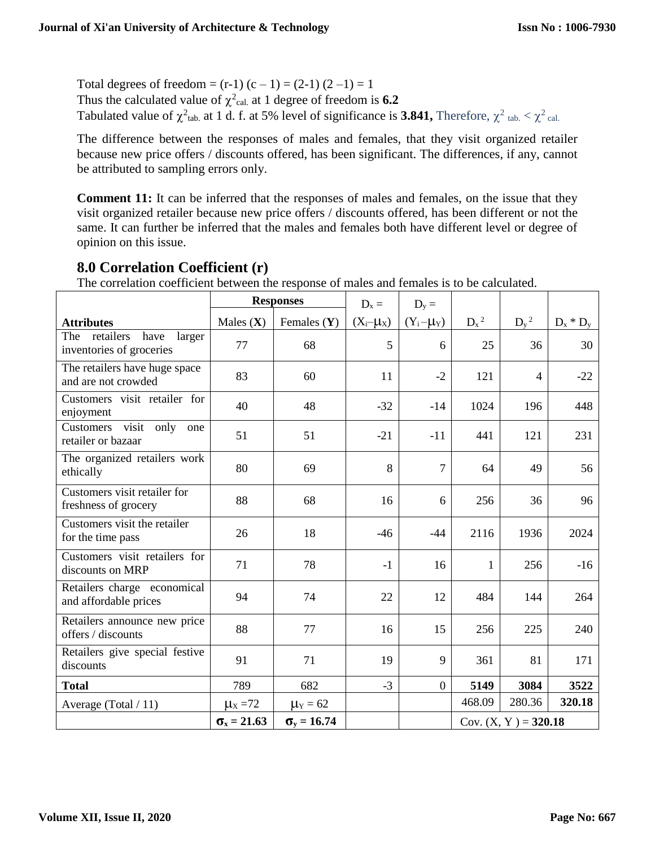Total degrees of freedom =  $(r-1)$   $(c-1)$  =  $(2-1)$   $(2-1)$  = 1 Thus the calculated value of  $\chi^2$ <sub>cal.</sub> at 1 degree of freedom is **6.2** Tabulated value of  $\chi^2$ <sub>tab.</sub> at 1 d. f. at 5% level of significance is 3.841, Therefore,  $\chi^2$ <sub>tab.</sub>  $\lt \chi^2$ <sub>cal.</sub>

The difference between the responses of males and females, that they visit organized retailer because new price offers / discounts offered, has been significant. The differences, if any, cannot be attributed to sampling errors only.

**Comment 11:** It can be inferred that the responses of males and females, on the issue that they visit organized retailer because new price offers / discounts offered, has been different or not the same. It can further be inferred that the males and females both have different level or degree of opinion on this issue.

| The correlation coefficient between the response of males and females is to be calculated. |                         |                      |                 |                 |         |                        |             |
|--------------------------------------------------------------------------------------------|-------------------------|----------------------|-----------------|-----------------|---------|------------------------|-------------|
|                                                                                            |                         | <b>Responses</b>     | $D_x =$         | $D_v =$         |         |                        |             |
| <b>Attributes</b>                                                                          | Males $(X)$             | Females $(Y)$        | $(X_i - \mu_X)$ | $(Y_i - \mu_Y)$ | $D_x^2$ | $D_v^2$                | $D_x * D_y$ |
| retailers<br>have<br>The<br>larger<br>inventories of groceries                             | 77                      | 68                   | 5               | 6               | 25      | 36                     | 30          |
| The retailers have huge space<br>and are not crowded                                       | 83                      | 60                   | 11              | $-2$            | 121     | $\overline{4}$         | $-22$       |
| Customers visit retailer for<br>enjoyment                                                  | 40                      | 48                   | $-32$           | $-14$           | 1024    | 196                    | 448         |
| Customers visit only<br>one<br>retailer or bazaar                                          | 51                      | 51                   | $-21$           | $-11$           | 441     | 121                    | 231         |
| The organized retailers work<br>ethically                                                  | 80                      | 69                   | 8               | $\overline{7}$  | 64      | 49                     | 56          |
| Customers visit retailer for<br>freshness of grocery                                       | 88                      | 68                   | 16              | 6               | 256     | 36                     | 96          |
| Customers visit the retailer<br>for the time pass                                          | 26                      | 18                   | $-46$           | $-44$           | 2116    | 1936                   | 2024        |
| Customers visit retailers for<br>discounts on MRP                                          | 71                      | 78                   | $-1$            | 16              | 1       | 256                    | $-16$       |
| Retailers charge economical<br>and affordable prices                                       | 94                      | 74                   | 22              | 12              | 484     | 144                    | 264         |
| Retailers announce new price<br>offers / discounts                                         | 88                      | 77                   | 16              | 15              | 256     | 225                    | 240         |
| Retailers give special festive<br>discounts                                                | 91                      | 71                   | 19              | 9               | 361     | 81                     | 171         |
| <b>Total</b>                                                                               | 789                     | 682                  | $-3$            | $\overline{0}$  | 5149    | 3084                   | 3522        |
| Average (Total / 11)                                                                       | $\mu$ <sub>x</sub> = 72 | $\mu_Y = 62$         |                 |                 | 468.09  | 280.36                 | 320.18      |
|                                                                                            | $\sigma_{x} = 21.63$    | $\sigma_{v} = 16.74$ |                 |                 |         | Cov. $(X, Y) = 320.18$ |             |

## **8.0 Correlation Coefficient (r)**

 $T$  corresponding coefficient  $\epsilon$  for the response of males and females is to be calculated.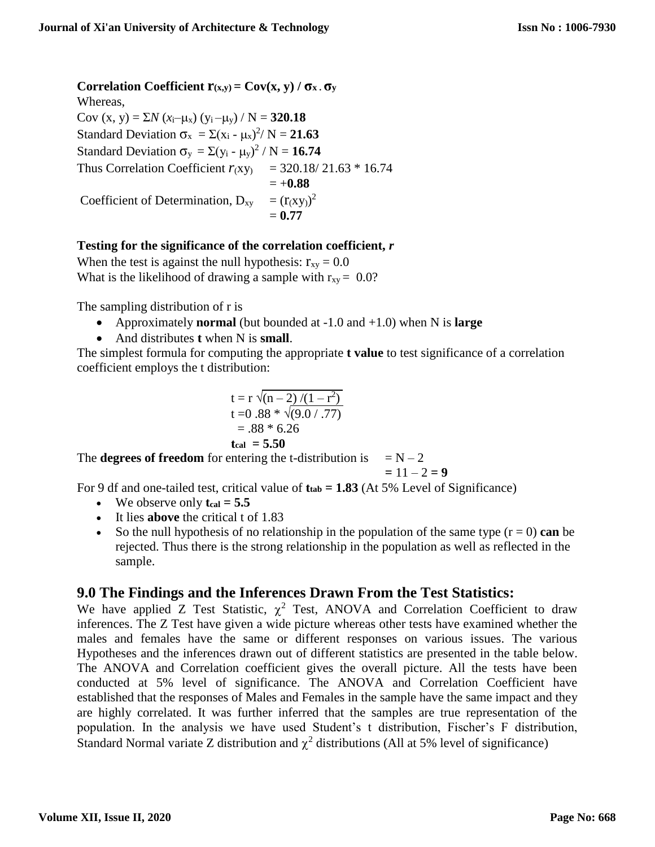**Correlation Coefficient**  $\mathbf{r}(x,y) = \mathbf{Cov}(x, y) / \sigma_x \cdot \sigma_y$ Whereas,  $Cov(x, y) = \sum N (x_i - \mu_x) (y_i - \mu_y) / N = 320.18$ Standard Deviation  $\sigma_x = \Sigma (x_i - \mu_x)^2 / N = 21.63$ Standard Deviation  $\sigma_y = \Sigma (y_i - \mu_y)^2 / N = 16.74$ Thus Correlation Coefficient  $r_{(xy)}$  = 320.18/21.63  $*$  16.74  $= +0.88$ Coefficient of Determination,  $D_{xy} = (r(xy))^2$  $= 0.77$ 

### **Testing for the significance of the correlation coefficient,** *r*

When the test is against the null hypothesis:  $r_{xy} = 0.0$ What is the likelihood of drawing a sample with  $r_{xy} = 0.0$ ?

The sampling distribution of r is

- Approximately **normal** (but bounded at -1.0 and +1.0) when N is **large**
- And distributes **t** when N is **small**.

The simplest formula for computing the appropriate **t value** to test significance of a correlation coefficient employs the t distribution:

$$
t = r \sqrt{(n-2)/(1-r^2)}
$$
  
\n
$$
t = 0.88 * \sqrt{(9.0/.77)}
$$
  
\n= .88 \* 6.26  
\n
$$
t_{cal} = 5.50
$$

The **degrees of freedom** for entering the t-distribution is  $= N - 2$ 

$$
= 11 - 2 = 9
$$

For 9 df and one-tailed test, critical value of **ttab = 1.83** (At 5% Level of Significance)

- $\bullet$  We observe only  $t_{cal} = 5.5$
- It lies **above** the critical t of 1.83
- So the null hypothesis of no relationship in the population of the same type  $(r = 0)$  can be rejected. Thus there is the strong relationship in the population as well as reflected in the sample.

## **9.0 The Findings and the Inferences Drawn From the Test Statistics:**

We have applied Z Test Statistic,  $\chi^2$  Test, ANOVA and Correlation Coefficient to draw inferences. The Z Test have given a wide picture whereas other tests have examined whether the males and females have the same or different responses on various issues. The various Hypotheses and the inferences drawn out of different statistics are presented in the table below. The ANOVA and Correlation coefficient gives the overall picture. All the tests have been conducted at 5% level of significance. The ANOVA and Correlation Coefficient have established that the responses of Males and Females in the sample have the same impact and they are highly correlated. It was further inferred that the samples are true representation of the population. In the analysis we have used Student's t distribution, Fischer's F distribution, Standard Normal variate Z distribution and  $\chi^2$  distributions (All at 5% level of significance)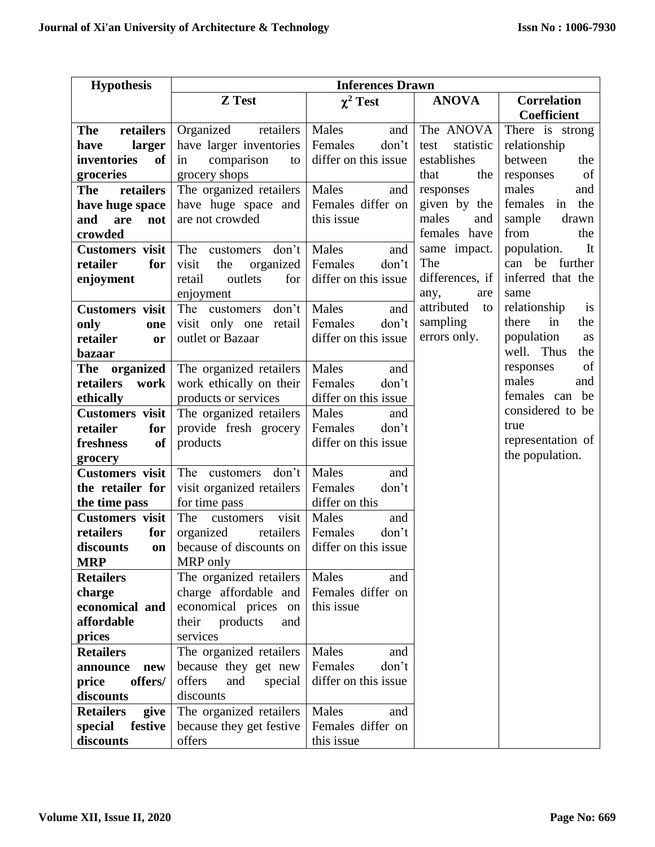| <b>Hypothesis</b>            |                                                 | <b>Inferences Drawn</b>         |                   |                               |  |  |  |
|------------------------------|-------------------------------------------------|---------------------------------|-------------------|-------------------------------|--|--|--|
|                              | Z Test                                          | $\chi^2$ Test                   | <b>ANOVA</b>      | <b>Correlation</b>            |  |  |  |
|                              |                                                 |                                 |                   | Coefficient                   |  |  |  |
| retailers<br><b>The</b>      | Organized<br>retailers                          | Males<br>and                    | The ANOVA         | There is strong               |  |  |  |
| larger<br>have               | have larger inventories                         | Females<br>don't                | statistic<br>test | relationship                  |  |  |  |
| inventories<br>of            | comparison<br>in<br>to                          | differ on this issue            | establishes       | between<br>the                |  |  |  |
| groceries                    | grocery shops                                   |                                 | the<br>that       | of<br>responses               |  |  |  |
| retailers<br><b>The</b>      | The organized retailers                         | Males<br>and                    | responses         | males<br>and                  |  |  |  |
| have huge space              | have huge space and                             | Females differ on               | given by the      | females<br>the<br>in          |  |  |  |
| and<br>are<br>not            | are not crowded                                 | this issue                      | males<br>and      | sample<br>drawn               |  |  |  |
| crowded                      |                                                 |                                 | females have      | from<br>the                   |  |  |  |
| <b>Customers</b> visit       | The customers don't                             | Males<br>and                    | same impact.      | population.<br>It             |  |  |  |
| for<br>retailer              | organized<br>visit<br>the                       | Females<br>don't                | The               | can be further                |  |  |  |
| enjoyment                    | outlets<br>for<br>retail                        | differ on this issue            | differences, if   | inferred that the             |  |  |  |
|                              | enjoyment                                       |                                 | any,<br>are       | same                          |  |  |  |
| <b>Customers</b> visit       | The customers<br>don't                          | Males<br>and                    | attributed<br>to  | relationship<br><sup>is</sup> |  |  |  |
| only<br>one                  | visit only one<br>retail                        | Females<br>don't                | sampling          | in<br>there<br>the            |  |  |  |
| retailer<br>or               | outlet or Bazaar                                | differ on this issue            | errors only.      | population<br>as              |  |  |  |
| <b>bazaar</b>                |                                                 |                                 |                   | well. Thus<br>the             |  |  |  |
| The organized                | The organized retailers                         | Males<br>and                    |                   | of<br>responses               |  |  |  |
| retailers<br>work            | work ethically on their                         | Females<br>don't                |                   | males<br>and                  |  |  |  |
| ethically                    | products or services                            | differ on this issue            |                   | females can be                |  |  |  |
| <b>Customers</b> visit       | The organized retailers                         | Males<br>and                    |                   | considered to be              |  |  |  |
| retailer<br>for              | provide fresh grocery                           | Females<br>don't                |                   | true                          |  |  |  |
| <b>of</b><br>freshness       | products                                        | differ on this issue            |                   | representation of             |  |  |  |
| grocery                      |                                                 |                                 |                   | the population.               |  |  |  |
| <b>Customers</b> visit       | The customers<br>don't                          | Males<br>and                    |                   |                               |  |  |  |
| the retailer for             | visit organized retailers                       | Females<br>don't                |                   |                               |  |  |  |
| the time pass                | for time pass                                   | differ on this                  |                   |                               |  |  |  |
| <b>Customers</b> visit       | The<br>visit<br>customers                       | Males<br>and                    |                   |                               |  |  |  |
| retailers<br>for             | organized<br>retailers                          | Females<br>don't                |                   |                               |  |  |  |
| discounts<br>on              | because of discounts on                         | differ on this issue            |                   |                               |  |  |  |
| <b>MRP</b>                   | MRP only                                        |                                 |                   |                               |  |  |  |
| <b>Retailers</b>             | The organized retailers                         | Males<br>and                    |                   |                               |  |  |  |
| charge                       | charge affordable and                           | Females differ on<br>this issue |                   |                               |  |  |  |
| economical and<br>affordable | economical prices on<br>their                   |                                 |                   |                               |  |  |  |
|                              | products<br>and<br>services                     |                                 |                   |                               |  |  |  |
| prices<br><b>Retailers</b>   |                                                 | Males                           |                   |                               |  |  |  |
| announce<br>new              | The organized retailers<br>because they get new | and<br>Females<br>don't         |                   |                               |  |  |  |
| offers/                      | offers<br>and<br>special                        | differ on this issue            |                   |                               |  |  |  |
| price<br>discounts           | discounts                                       |                                 |                   |                               |  |  |  |
| <b>Retailers</b><br>give     | The organized retailers                         | Males<br>and                    |                   |                               |  |  |  |
| festive<br>special           | because they get festive                        | Females differ on               |                   |                               |  |  |  |
| discounts                    | offers                                          | this issue                      |                   |                               |  |  |  |
|                              |                                                 |                                 |                   |                               |  |  |  |